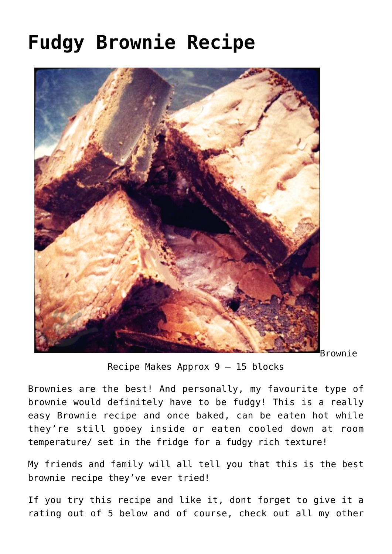## **[Fudgy Brownie Recipe](https://effortless-kitchen.com/2019/06/10/brownie-recipe/)**



Brownie

Recipe Makes Approx 9 – 15 blocks

Brownies are the best! And personally, my favourite type of brownie would definitely have to be fudgy! This is a really easy Brownie recipe and once baked, can be eaten hot while they're still gooey inside or eaten cooled down at room temperature/ set in the fridge for a fudgy rich texture!

My friends and family will all tell you that this is the best brownie recipe they've ever tried!

If you try this recipe and like it, dont forget to give it a rating out of 5 below and of course, check out all [my other](https://effortless-kitchen.com/browse-all-recipes/)